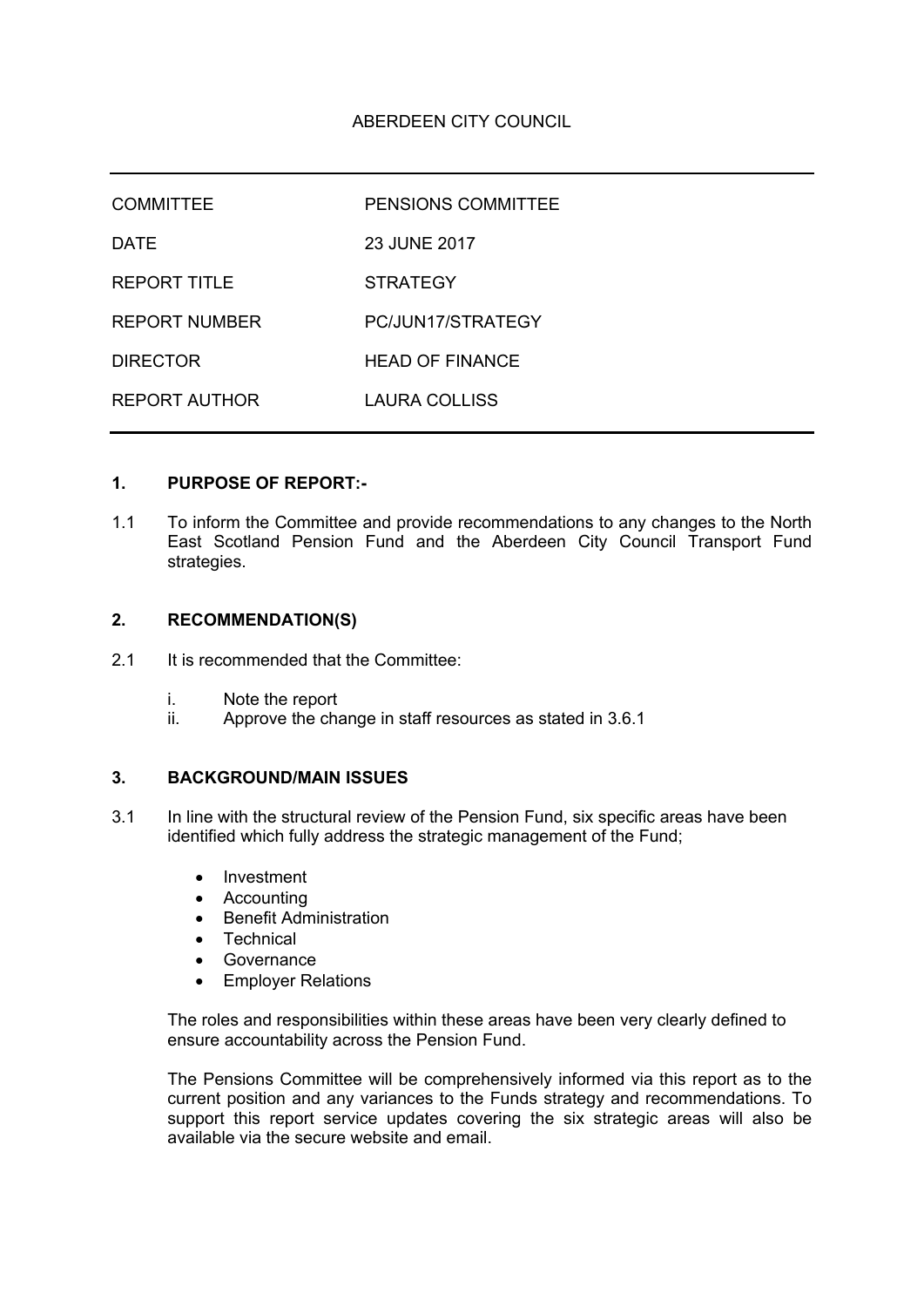| <b>COMMITTEE</b>     | <b>PENSIONS COMMITTEE</b> |
|----------------------|---------------------------|
| <b>DATE</b>          | 23 JUNE 2017              |
| <b>REPORT TITLE</b>  | <b>STRATEGY</b>           |
| <b>REPORT NUMBER</b> | PC/JUN17/STRATEGY         |
| <b>DIRECTOR</b>      | <b>HEAD OF FINANCE</b>    |
| <b>REPORT AUTHOR</b> | LAURA COLLISS             |

#### **1. PURPOSE OF REPORT:-**

1.1 To inform the Committee and provide recommendations to any changes to the North East Scotland Pension Fund and the Aberdeen City Council Transport Fund strategies.

# **2. RECOMMENDATION(S)**

- 2.1 It is recommended that the Committee:
	- i. Note the report
	- ii. Approve the change in staff resources as stated in 3.6.1

# **3. BACKGROUND/MAIN ISSUES**

- 3.1 In line with the structural review of the Pension Fund, six specific areas have been identified which fully address the strategic management of the Fund;
	- Investment
	- Accounting
	- Benefit Administration
	- Technical
	- Governance
	- Employer Relations

The roles and responsibilities within these areas have been very clearly defined to ensure accountability across the Pension Fund.

The Pensions Committee will be comprehensively informed via this report as to the current position and any variances to the Funds strategy and recommendations. To support this report service updates covering the six strategic areas will also be available via the secure website and email.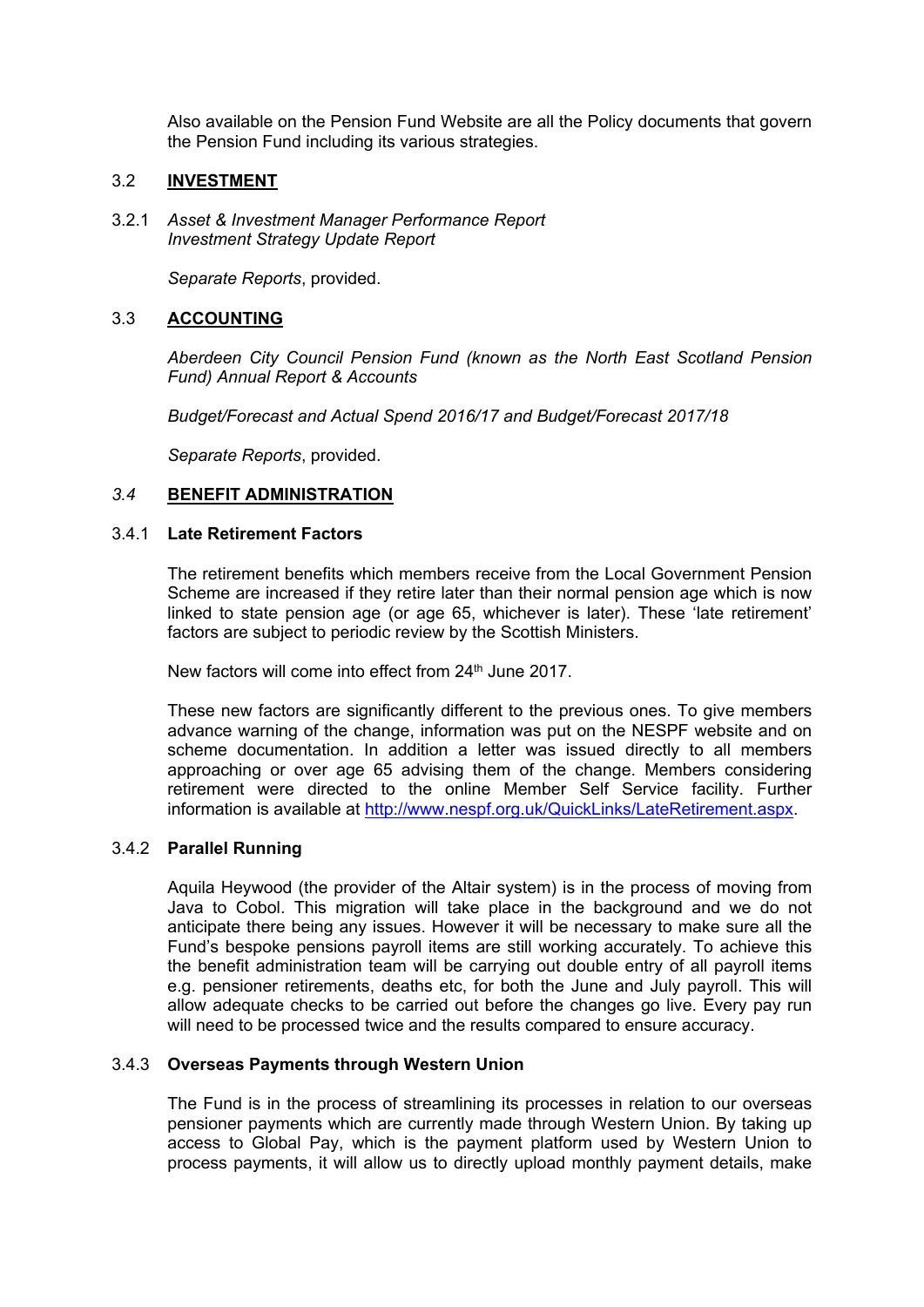Also available on the Pension Fund Website are all the Policy documents that govern the Pension Fund including its various strategies.

### 3.2 **INVESTMENT**

3.2.1 *Asset & Investment Manager Performance Report Investment Strategy Update Report*

*Separate Reports*, provided.

# 3.3 **ACCOUNTING**

*Aberdeen City Council Pension Fund (known as the North East Scotland Pension Fund) Annual Report & Accounts*

*Budget/Forecast and Actual Spend 2016/17 and Budget/Forecast 2017/18*

*Separate Reports*, provided.

#### *3.4* **BENEFIT ADMINISTRATION**

#### 3.4.1 **Late Retirement Factors**

The retirement benefits which members receive from the Local Government Pension Scheme are increased if they retire later than their normal pension age which is now linked to state pension age (or age 65, whichever is later). These 'late retirement' factors are subject to periodic review by the Scottish Ministers.

New factors will come into effect from 24<sup>th</sup> June 2017.

These new factors are significantly different to the previous ones. To give members advance warning of the change, information was put on the NESPF website and on scheme documentation. In addition a letter was issued directly to all members approaching or over age 65 advising them of the change. Members considering retirement were directed to the online Member Self Service facility. Further information is available at [http://www.nespf.org.uk/QuickLinks/LateRetirement.aspx.](http://www.nespf.org.uk/QuickLinks/LateRetirement.aspx)

# 3.4.2 **Parallel Running**

Aquila Heywood (the provider of the Altair system) is in the process of moving from Java to Cobol. This migration will take place in the background and we do not anticipate there being any issues. However it will be necessary to make sure all the Fund's bespoke pensions payroll items are still working accurately. To achieve this the benefit administration team will be carrying out double entry of all payroll items e.g. pensioner retirements, deaths etc, for both the June and July payroll. This will allow adequate checks to be carried out before the changes go live. Every pay run will need to be processed twice and the results compared to ensure accuracy.

# 3.4.3 **Overseas Payments through Western Union**

The Fund is in the process of streamlining its processes in relation to our overseas pensioner payments which are currently made through Western Union. By taking up access to Global Pay, which is the payment platform used by Western Union to process payments, it will allow us to directly upload monthly payment details, make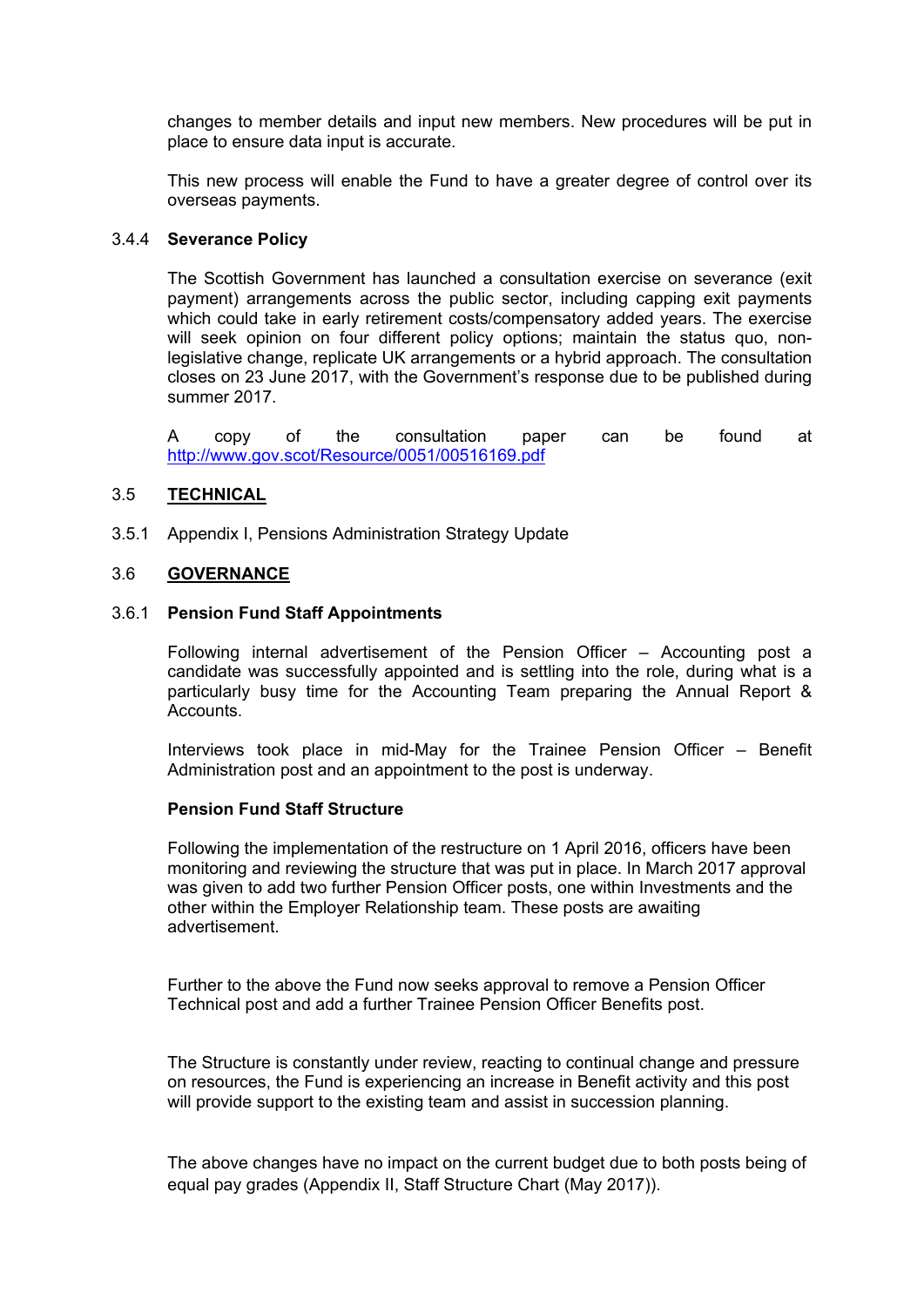changes to member details and input new members. New procedures will be put in place to ensure data input is accurate.

This new process will enable the Fund to have a greater degree of control over its overseas payments.

#### 3.4.4 **Severance Policy**

The Scottish Government has launched a consultation exercise on severance (exit payment) arrangements across the public sector, including capping exit payments which could take in early retirement costs/compensatory added years. The exercise will seek opinion on four different policy options; maintain the status quo, nonlegislative change, replicate UK arrangements or a hybrid approach. The consultation closes on 23 June 2017, with the Government's response due to be published during summer 2017.

A copy of the consultation paper can be found at <http://www.gov.scot/Resource/0051/00516169.pdf>

#### 3.5 **TECHNICAL**

3.5.1 Appendix I, Pensions Administration Strategy Update

# 3.6 **GOVERNANCE**

#### 3.6.1 **Pension Fund Staff Appointments**

Following internal advertisement of the Pension Officer – Accounting post a candidate was successfully appointed and is settling into the role, during what is a particularly busy time for the Accounting Team preparing the Annual Report & **Accounts** 

Interviews took place in mid-May for the Trainee Pension Officer – Benefit Administration post and an appointment to the post is underway.

#### **Pension Fund Staff Structure**

Following the implementation of the restructure on 1 April 2016, officers have been monitoring and reviewing the structure that was put in place. In March 2017 approval was given to add two further Pension Officer posts, one within Investments and the other within the Employer Relationship team. These posts are awaiting advertisement.

Further to the above the Fund now seeks approval to remove a Pension Officer Technical post and add a further Trainee Pension Officer Benefits post.

The Structure is constantly under review, reacting to continual change and pressure on resources, the Fund is experiencing an increase in Benefit activity and this post will provide support to the existing team and assist in succession planning.

The above changes have no impact on the current budget due to both posts being of equal pay grades (Appendix II, Staff Structure Chart (May 2017)).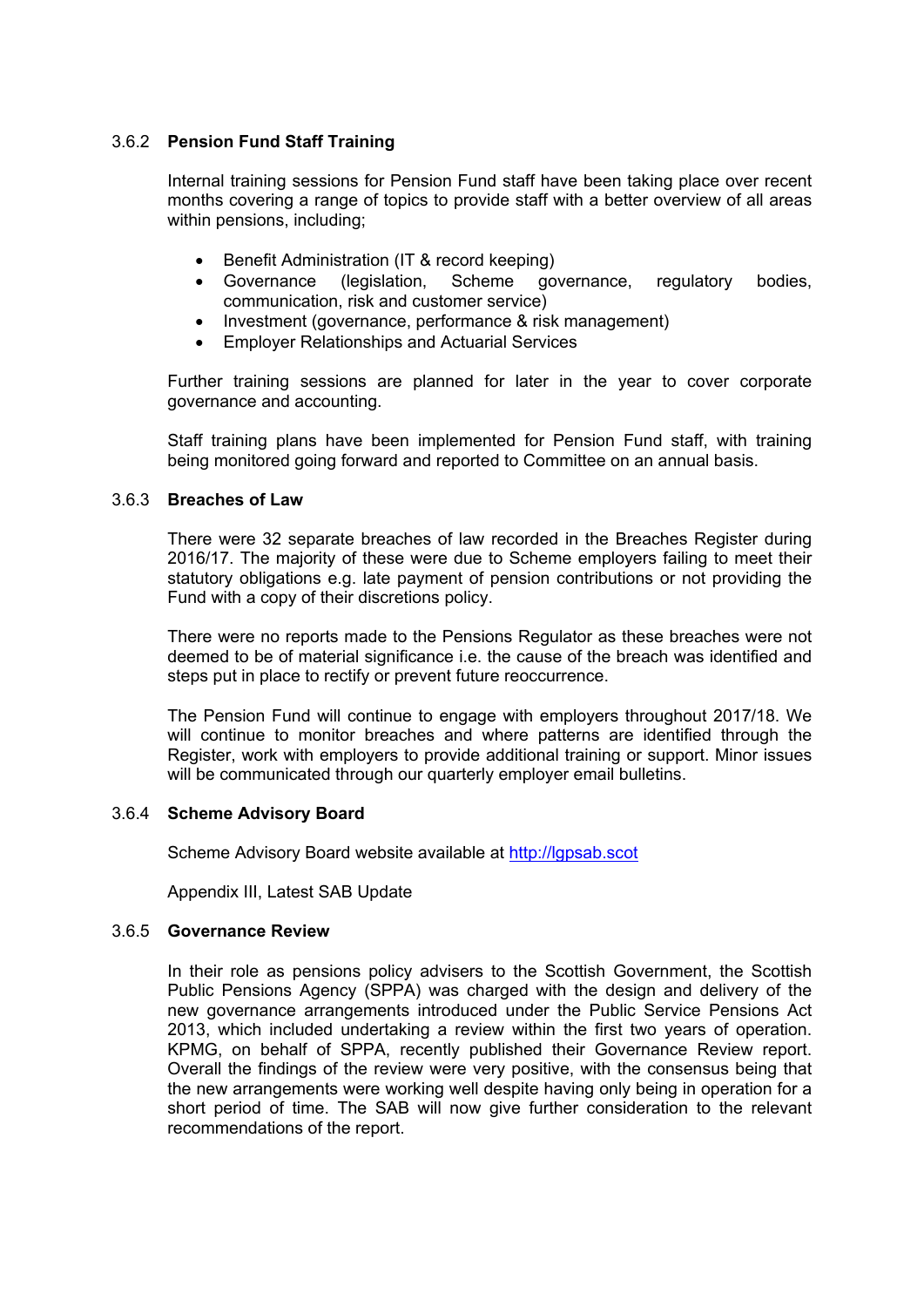# 3.6.2 **Pension Fund Staff Training**

Internal training sessions for Pension Fund staff have been taking place over recent months covering a range of topics to provide staff with a better overview of all areas within pensions, including;

- Benefit Administration (IT & record keeping)
- Governance (legislation, Scheme governance, regulatory bodies, communication, risk and customer service)
- Investment (governance, performance & risk management)
- Employer Relationships and Actuarial Services

Further training sessions are planned for later in the year to cover corporate governance and accounting.

Staff training plans have been implemented for Pension Fund staff, with training being monitored going forward and reported to Committee on an annual basis.

#### 3.6.3 **Breaches of Law**

There were 32 separate breaches of law recorded in the Breaches Register during 2016/17. The majority of these were due to Scheme employers failing to meet their statutory obligations e.g. late payment of pension contributions or not providing the Fund with a copy of their discretions policy.

There were no reports made to the Pensions Regulator as these breaches were not deemed to be of material significance i.e. the cause of the breach was identified and steps put in place to rectify or prevent future reoccurrence.

The Pension Fund will continue to engage with employers throughout 2017/18. We will continue to monitor breaches and where patterns are identified through the Register, work with employers to provide additional training or support. Minor issues will be communicated through our quarterly employer email bulletins.

### 3.6.4 **Scheme Advisory Board**

Scheme Advisory Board website available at [http://lgpsab.scot](http://lgpsab.scot/)

Appendix III, Latest SAB Update

#### 3.6.5 **Governance Review**

In their role as pensions policy advisers to the Scottish Government, the Scottish Public Pensions Agency (SPPA) was charged with the design and delivery of the new governance arrangements introduced under the Public Service Pensions Act 2013, which included undertaking a review within the first two years of operation. KPMG, on behalf of SPPA, recently published their Governance Review report. Overall the findings of the review were very positive, with the consensus being that the new arrangements were working well despite having only being in operation for a short period of time. The SAB will now give further consideration to the relevant recommendations of the report.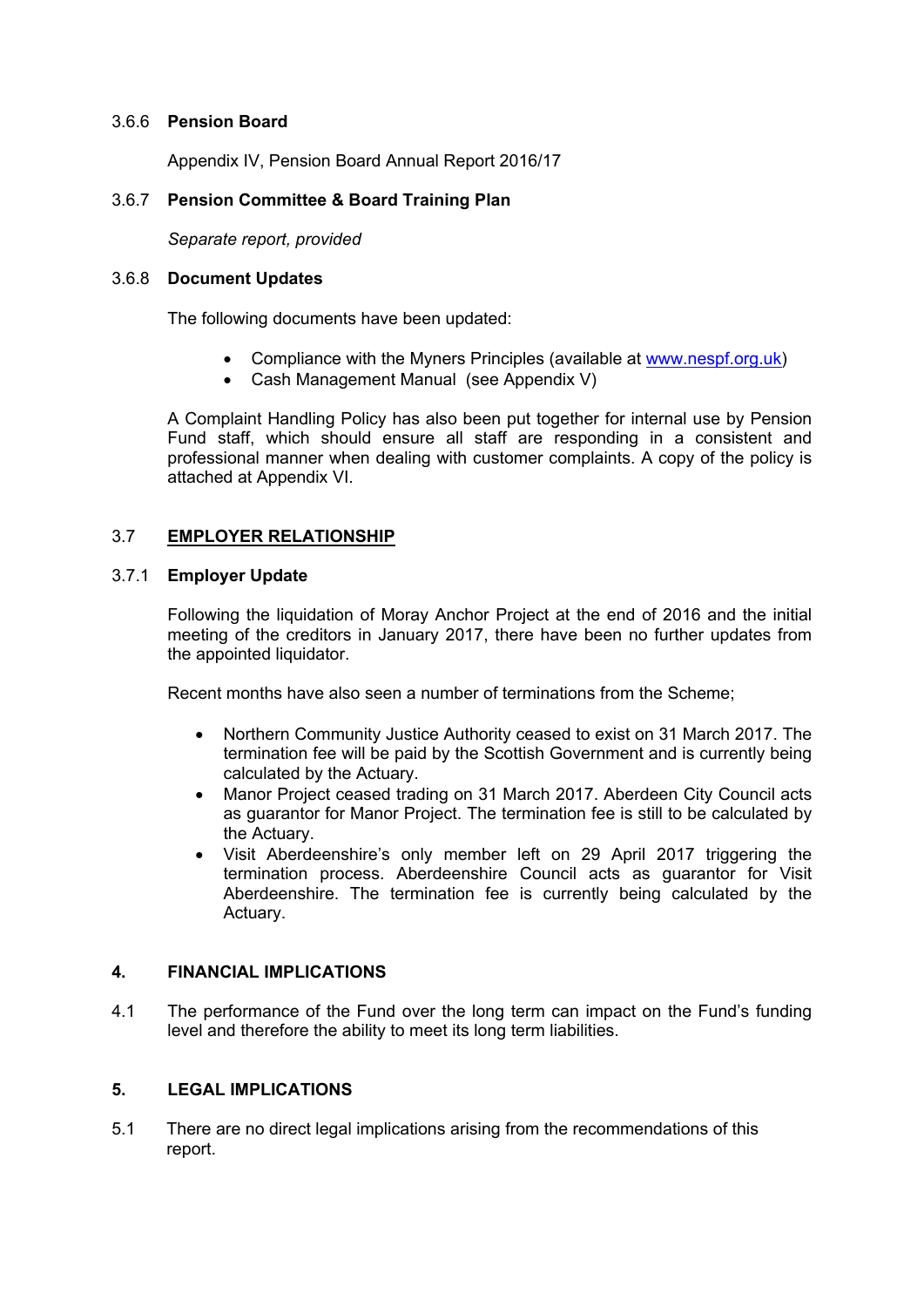### 3.6.6 **Pension Board**

Appendix IV, Pension Board Annual Report 2016/17

# 3.6.7 **Pension Committee & Board Training Plan**

*Separate report, provided*

#### 3.6.8 **Document Updates**

The following documents have been updated:

- Compliance with the Myners Principles (available at [www.nespf.org.uk\)](http://www.nespf.org.uk/)
- Cash Management Manual (see Appendix V)

A Complaint Handling Policy has also been put together for internal use by Pension Fund staff, which should ensure all staff are responding in a consistent and professional manner when dealing with customer complaints. A copy of the policy is attached at Appendix VI.

# 3.7 **EMPLOYER RELATIONSHIP**

# 3.7.1 **Employer Update**

Following the liquidation of Moray Anchor Project at the end of 2016 and the initial meeting of the creditors in January 2017, there have been no further updates from the appointed liquidator.

Recent months have also seen a number of terminations from the Scheme;

- Northern Community Justice Authority ceased to exist on 31 March 2017. The termination fee will be paid by the Scottish Government and is currently being calculated by the Actuary.
- Manor Project ceased trading on 31 March 2017. Aberdeen City Council acts as guarantor for Manor Project. The termination fee is still to be calculated by the Actuary.
- Visit Aberdeenshire's only member left on 29 April 2017 triggering the termination process. Aberdeenshire Council acts as guarantor for Visit Aberdeenshire. The termination fee is currently being calculated by the Actuary.

# **4. FINANCIAL IMPLICATIONS**

4.1 The performance of the Fund over the long term can impact on the Fund's funding level and therefore the ability to meet its long term liabilities.

# **5. LEGAL IMPLICATIONS**

5.1 There are no direct legal implications arising from the recommendations of this report.